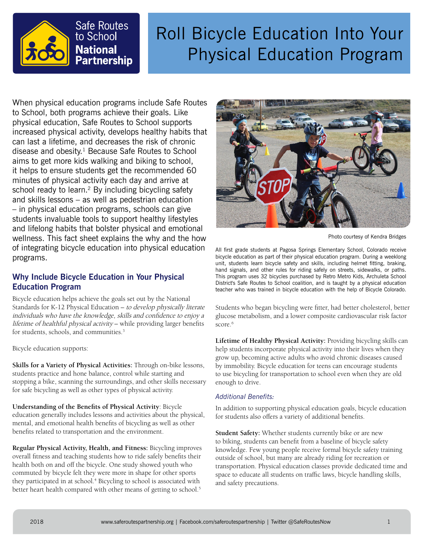

# Roll Bicycle Education Into Your Physical Education Program

When physical education programs include Safe Routes to School, both programs achieve their goals. Like physical education, Safe Routes to School supports increased physical activity, develops healthy habits that can last a lifetime, and decreases the risk of chronic disease and obesity. $1$  Because Safe Routes to School aims to get more kids walking and biking to school, it helps to ensure students get the recommended 60 minutes of physical activity each day and arrive at school ready to learn.<sup>2</sup> By including bicycling safety and skills lessons – as well as pedestrian education – in physical education programs, schools can give students invaluable tools to support healthy lifestyles and lifelong habits that bolster physical and emotional wellness. This fact sheet explains the why and the how of integrating bicycle education into physical education programs.

# **Why Include Bicycle Education in Your Physical Education Program**

Bicycle education helps achieve the goals set out by the National Standards for K-12 Physical Education - to develop physically literate individuals who have the knowledge, skills and confidence to enjoy a lifetime of healthful physical activity – while providing larger benefits for students, schools, and communities.<sup>3</sup>

Bicycle education supports:

**Skills for a Variety of Physical Activities:** Through on-bike lessons, students practice and hone balance, control while starting and stopping a bike, scanning the surroundings, and other skills necessary for safe bicycling as well as other types of physical activity.

**Understanding of the Benefits of Physical Activity**: Bicycle education generally includes lessons and activities about the physical, mental, and emotional health benefits of bicycling as well as other benefits related to transportation and the environment.

**Regular Physical Activity, Health, and Fitness:** Bicycling improves overall fitness and teaching students how to ride safely benefits their health both on and off the bicycle. One study showed youth who commuted by bicycle felt they were more in shape for other sports they participated in at school.<sup>4</sup> Bicycling to school is associated with better heart health compared with other means of getting to school.<sup>5</sup>



Photo courtesy of Kendra Bridges

All first grade students at Pagosa Springs Elementary School, Colorado receive bicycle education as part of their physical education program. During a weeklong unit, students learn bicycle safety and skills, including helmet fitting, braking, hand signals, and other rules for riding safely on streets, sidewalks, or paths. This program uses 32 bicycles purchased by Retro Metro Kids, Archuleta School District's Safe Routes to School coalition, and is taught by a physical education teacher who was trained in bicycle education with the help of Bicycle Colorado.

Students who began bicycling were fitter, had better cholesterol, better glucose metabolism, and a lower composite cardiovascular risk factor score.<sup>6</sup>

**Lifetime of Healthy Physical Activity:** Providing bicycling skills can help students incorporate physical activity into their lives when they grow up, becoming active adults who avoid chronic diseases caused by immobility. Bicycle education for teens can encourage students to use bicycling for transportation to school even when they are old enough to drive.

## *Additional Benefits:*

In addition to supporting physical education goals, bicycle education for students also offers a variety of additional benefits.

**Student Safety:** Whether students currently bike or are new to biking, students can benefit from a baseline of bicycle safety knowledge. Few young people receive formal bicycle safety training outside of school, but many are already riding for recreation or transportation. Physical education classes provide dedicated time and space to educate all students on traffic laws, bicycle handling skills, and safety precautions.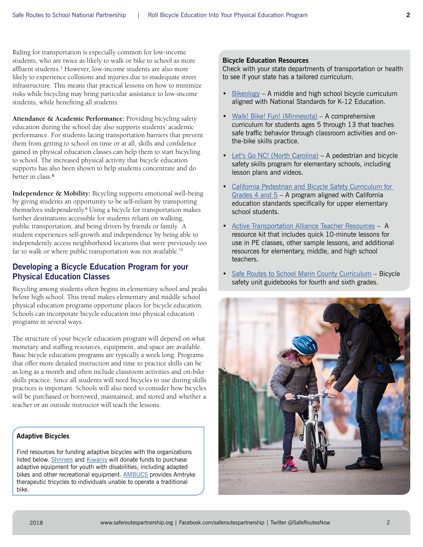Riding for transportation is especially common for low-income students, who are twice as likely to walk or bike to school as more affluent students.7 However, low-income students are also more likely to experience collisions and injuries due to inadequate street infrastructure. This means that practical lessons on how to minimize risks while bicycling may bring particular assistance to low-income students, while benefiting all students.

**Attendance & Academic Performance:** Providing bicycling safety education during the school day also supports students' academic performance. For students facing transportation barriers that prevent them from getting to school on time or at all, skills and confidence gained in physical education classes can help them to start bicycling to school. The increased physical activity that bicycle education supports has also been shown to help students concentrate and do better in class.8

**Independence & Mobility:** Bicycling supports emotional well-being by giving students an opportunity to be self-reliant by transporting themselves independently.9 Using a bicycle for transportation makes further destinations accessible for students reliant on walking, public transportation, and being driven by friends or family. A student experiences self-growth and independence by being able to independently access neighborhood locations that were previously too far to walk or where public transportation was not available.<sup>10</sup>

# **Developing a Bicycle Education Program for your Physical Education Classes**

Bicycling among students often begins in elementary school and peaks before high school. This trend makes elementary and middle school physical education programs opportune places for bicycle education. Schools can incorporate bicycle education into physical education programs in several ways.

The structure of your bicycle education program will depend on what monetary and staffing resources, equipment, and space are available. Basic bicycle education programs are typically a week long. Programs that offer more detailed instruction and time to practice skills can be as long as a month and often include classroom activities and on-bike skills practice. Since all students will need bicycles to use during skills practices is important. Schools will also need to consider how bicycles will be purchased or borrowed, maintained, and stored and whether a teacher or an outside instructor will teach the lessons.

### **Adaptive Bicycles**

Find resources for funding adaptive bicycles with the organizations listed below. [Shriners](http://www.shrinershq.org) and [Kiwanis](http://www.kiwanis.org) will donate funds to purchase adaptive equipment for youth with disabilities, including adapted bikes and other recreational equipment. **[AMBUCS](https://ambucs.org/)** provides Amtryke therapeutic tricycles to individuals unable to operate a traditional bike.

#### **Bicycle Education Resources**

Check with your state departments of transportation or health to see if your state has a tailored curriculum.

- $Bikeology A middle and high school bicycle curricular$  $Bikeology A middle and high school bicycle curricular$ aligned with National Standards for K-12 Education.
- [Walk! Bike! Fun! \(Minnesota\)](http://www.bikemn.org/education/walk-bike-fun)  A comprehensive curriculum for students ages 5 through 13 that teaches safe traffic behavior through classroom activities and onthe-bike skills practice.
- [Let's Go NC! \(North Carolina\)](https://www.ncdot.gov/bikeped/safetyeducation/letsgonc/7.html) A pedestrian and bicycle safety skills program for elementary schools, including lesson plans and videos.
- [California Pedestrian and Bicycle Safety Curriculum for](https://sonomasaferoutes.org/content/california-pedestrian-and-bicycle-safety-curriculum-grades-4-and-5)  Grades 4 and  $5 - A$  program aligned with California education standards specifically for upper elementary school students.
- [Active Transportation Alliance Teacher Resources](http://www.activetrans.org/teacher-resources)  A resource kit that includes quick 10-minute lessons for use in PE classes, other sample lessons, and additional resources for elementary, middle, and high school teachers.
- [Safe Routes to School Marin County Curriculum](http://www.saferoutestoschools.org/curriculum.html) Bicycle safety unit guidebooks for fourth and sixth grades.

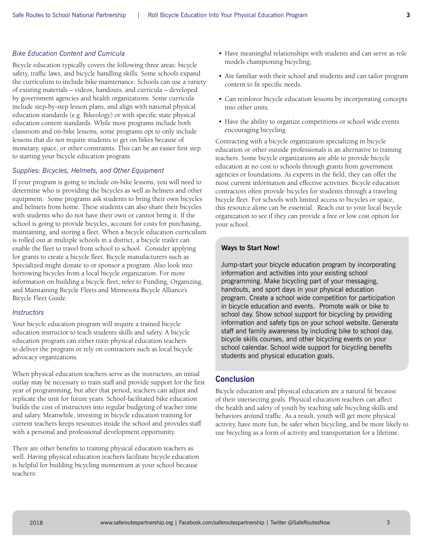### *Bike Education Content and Curricula*

Bicycle education typically covers the following three areas: bicycle safety, traffic laws, and bicycle handling skills. Some schools expand the curriculum to include bike maintenance. Schools can use a variety of existing materials – videos, handouts, and curricula – developed by government agencies and health organizations. Some curricula include step-by-step lesson plans, and align with national physical education standards (e.g. Bikeology) or with specific state physical education content standards. While most programs include both classroom and on-bike lessons, some programs opt to only include lessons that do not require students to get on bikes because of monetary, space, or other constraints. This can be an easier first step to starting your bicycle education program.

#### *Supplies: Bicycles, Helmets, and Other Equipment*

If your program is going to include on-bike lessons, you will need to determine who is providing the bicycles as well as helmets and other equipment. Some programs ask students to bring their own bicycles and helmets from home. These students can also share their bicycles with students who do not have their own or cannot bring it. If the school is going to provide bicycles, account for costs for purchasing, maintaining, and storing a fleet. When a bicycle education curriculum is rolled out at multiple schools in a district, a bicycle trailer can enable the fleet to travel from school to school. Consider applying for grants to create a bicycle fleet. Bicycle manufacturers such as Specialized might donate to or sponsor a program. Also look into borrowing bicycles from a local bicycle organization. For more information on building a bicycle fleet, refer to Funding, Organizing, and Maintaining Bicycle Fleets and Minnesota Bicycle Alliance's Bicycle Fleet Guide.

#### *Instructors*

Your bicycle education program will require a trained bicycle education instructor to teach students skills and safety. A bicycle education program can either train physical education teachers to deliver the program or rely on contractors such as local bicycle advocacy organizations.

When physical education teachers serve as the instructors, an initial outlay may be necessary to train staff and provide support for the first year of programming, but after that period, teachers can adjust and replicate the unit for future years. School-facilitated bike education builds the cost of instructors into regular budgeting of teacher time and salary. Meanwhile, investing in bicycle education training for current teachers keeps resources inside the school and provides staff with a personal and professional development opportunity.

There are other benefits to training physical education teachers as well. Having physical education teachers facilitate bicycle education is helpful for building bicycling momentum at your school because teachers:

- Have meaningful relationships with students and can serve as role models championing bicycling;
- Are familiar with their school and students and can tailor program content to fit specific needs.
- Can reinforce bicycle education lessons by incorporating concepts into other units.
- Have the ability to organize competitions or school wide events encouraging bicycling.

Contracting with a bicycle organization specializing in bicycle education or other outside professionals is an alternative to training teachers. Some bicycle organizations are able to provide bicycle education at no cost to schools through grants from government agencies or foundations. As experts in the field, they can offer the most current information and effective activities. Bicycle education contractors often provide bicycles for students through a traveling bicycle fleet. For schools with limited access to bicycles or space, this resource alone can be essential. Reach out to your local bicycle organization to see if they can provide a free or low cost option for your school.

#### **Ways to Start Now!**

Jump-start your bicycle education program by incorporating information and activities into your existing school programming. Make bicycling part of your messaging, handouts, and sport days in your physical education program. Create a school wide competition for participation in bicycle education and events. Promote walk or bike to school day. Show school support for bicycling by providing information and safety tips on your school website. Generate staff and family awareness by including bike to school day, bicycle skills courses, and other bicycling events on your school calendar. School wide support for bicycling benefits students and physical education goals.

#### **Conclusion**

Bicycle education and physical education are a natural fit because of their intersecting goals. Physical education teachers can affect the health and safety of youth by teaching safe bicycling skills and behaviors around traffic. As a result, youth will get more physical activity, have more fun, be safer when bicycling, and be more likely to use bicycling as a form of activity and transportation for a lifetime.